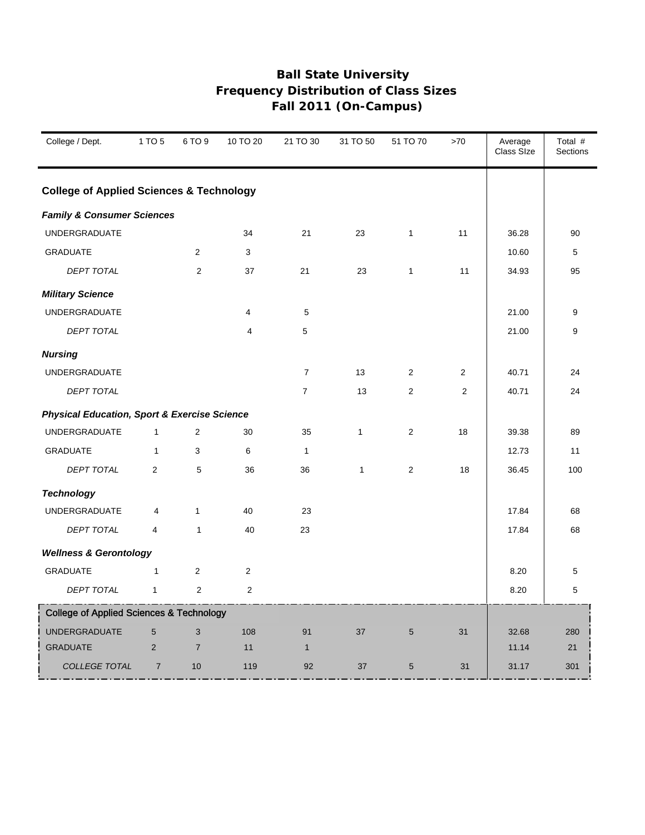| College / Dept.                                         | 1 TO 5         | 6 TO 9         | 10 TO 20       | 21 TO 30       | 31 TO 50     | 51 TO 70        | >70            | Average<br>Class SIze | Total #<br>Sections |
|---------------------------------------------------------|----------------|----------------|----------------|----------------|--------------|-----------------|----------------|-----------------------|---------------------|
| <b>College of Applied Sciences &amp; Technology</b>     |                |                |                |                |              |                 |                |                       |                     |
| <b>Family &amp; Consumer Sciences</b>                   |                |                |                |                |              |                 |                |                       |                     |
| <b>UNDERGRADUATE</b>                                    |                |                | 34             | 21             | 23           | $\mathbf{1}$    | 11             | 36.28                 | 90                  |
| <b>GRADUATE</b>                                         |                | $\overline{2}$ | 3              |                |              |                 |                | 10.60                 | 5                   |
| DEPT TOTAL                                              |                | 2              | 37             | 21             | 23           | $\mathbf{1}$    | 11             | 34.93                 | 95                  |
| <b>Military Science</b>                                 |                |                |                |                |              |                 |                |                       |                     |
| <b>UNDERGRADUATE</b>                                    |                |                | $\overline{4}$ | 5              |              |                 |                | 21.00                 | 9                   |
| DEPT TOTAL                                              |                |                | $\overline{4}$ | 5              |              |                 |                | 21.00                 | 9                   |
| <b>Nursing</b>                                          |                |                |                |                |              |                 |                |                       |                     |
| <b>UNDERGRADUATE</b>                                    |                |                |                | $\overline{7}$ | 13           | $\overline{2}$  | $\overline{2}$ | 40.71                 | 24                  |
| <b>DEPT TOTAL</b>                                       |                |                |                | $\overline{7}$ | 13           | 2               | $\overline{2}$ | 40.71                 | 24                  |
| <b>Physical Education, Sport &amp; Exercise Science</b> |                |                |                |                |              |                 |                |                       |                     |
| <b>UNDERGRADUATE</b>                                    | $\mathbf{1}$   | $\overline{2}$ | 30             | 35             | $\mathbf{1}$ | $\overline{2}$  | 18             | 39.38                 | 89                  |
| <b>GRADUATE</b>                                         | $\mathbf{1}$   | 3              | 6              | $\mathbf{1}$   |              |                 |                | 12.73                 | 11                  |
| DEPT TOTAL                                              | $\overline{2}$ | 5              | 36             | 36             | $\mathbf{1}$ | 2               | 18             | 36.45                 | 100                 |
| <b>Technology</b>                                       |                |                |                |                |              |                 |                |                       |                     |
| <b>UNDERGRADUATE</b>                                    | 4              | $\mathbf{1}$   | 40             | 23             |              |                 |                | 17.84                 | 68                  |
| <b>DEPT TOTAL</b>                                       | 4              | $\mathbf{1}$   | 40             | 23             |              |                 |                | 17.84                 | 68                  |
| <b>Wellness &amp; Gerontology</b>                       |                |                |                |                |              |                 |                |                       |                     |
| <b>GRADUATE</b>                                         | $\mathbf{1}$   | 2              | $\mathbf 2$    |                |              |                 |                | 8.20                  | 5                   |
| <b>DEPT TOTAL</b>                                       | $\mathbf{1}$   | $\overline{2}$ | $\overline{2}$ |                |              |                 |                | 8.20                  | 5                   |
| <b>College of Applied Sciences &amp; Technology</b>     |                |                |                |                |              |                 |                |                       |                     |
| <b>UNDERGRADUATE</b>                                    | 5              | 3              | 108            | 91             | 37           | $5\phantom{.0}$ | 31             | 32.68                 | 280                 |
| <b>GRADUATE</b>                                         | $\overline{2}$ | $\overline{7}$ | 11             | $\mathbf{1}$   |              |                 |                | 11.14                 | 21                  |
| <b>COLLEGE TOTAL</b>                                    | $\overline{7}$ | 10             | 119            | 92             | 37           | $5\phantom{.0}$ | 31             | 31.17                 | 301                 |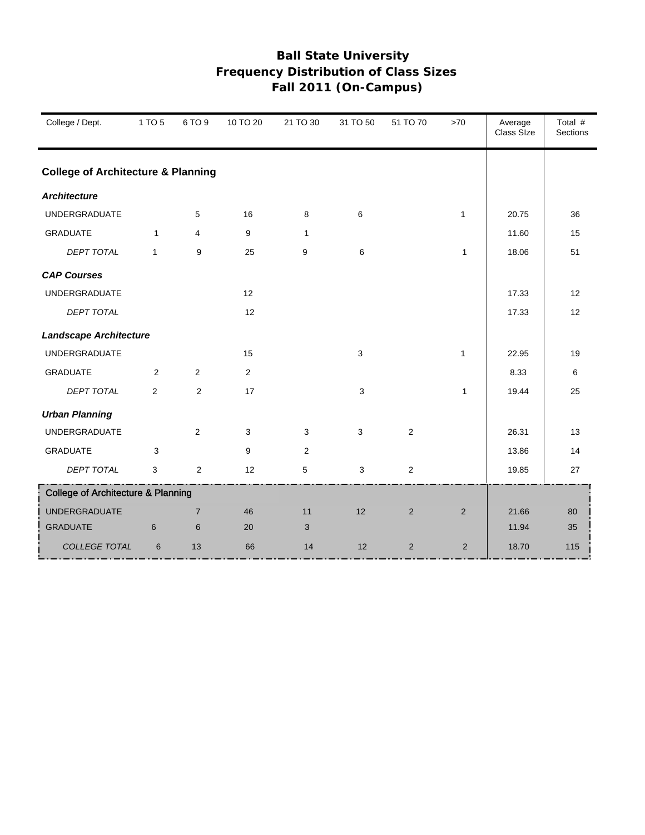| College / Dept.                               | 1 TO 5         | 6 TO 9         | 10 TO 20     | 21 TO 30     | 31 TO 50 | 51 TO 70       | $>70$        | Average<br>Class Size | Total #<br>Sections |
|-----------------------------------------------|----------------|----------------|--------------|--------------|----------|----------------|--------------|-----------------------|---------------------|
| <b>College of Architecture &amp; Planning</b> |                |                |              |              |          |                |              |                       |                     |
| <b>Architecture</b>                           |                |                |              |              |          |                |              |                       |                     |
| <b>UNDERGRADUATE</b>                          |                | 5              | 16           | 8            | 6        |                | $\mathbf{1}$ | 20.75                 | 36                  |
| <b>GRADUATE</b>                               | $\mathbf{1}$   | 4              | 9            | $\mathbf{1}$ |          |                |              | 11.60                 | 15                  |
| <b>DEPT TOTAL</b>                             | $\mathbf{1}$   | 9              | 25           | 9            | 6        |                | $\mathbf{1}$ | 18.06                 | 51                  |
| <b>CAP Courses</b>                            |                |                |              |              |          |                |              |                       |                     |
| <b>UNDERGRADUATE</b>                          |                |                | 12           |              |          |                |              | 17.33                 | 12                  |
| DEPT TOTAL                                    |                |                | 12           |              |          |                |              | 17.33                 | 12                  |
| <b>Landscape Architecture</b>                 |                |                |              |              |          |                |              |                       |                     |
| <b>UNDERGRADUATE</b>                          |                |                | 15           |              | 3        |                | $\mathbf{1}$ | 22.95                 | 19                  |
| <b>GRADUATE</b>                               | $\overline{2}$ | 2              | $\mathbf{2}$ |              |          |                |              | 8.33                  | 6                   |
| DEPT TOTAL                                    | 2              | $\overline{2}$ | 17           |              | 3        |                | $\mathbf{1}$ | 19.44                 | 25                  |
| <b>Urban Planning</b>                         |                |                |              |              |          |                |              |                       |                     |
| UNDERGRADUATE                                 |                | 2              | $\mathbf{3}$ | 3            | 3        | $\overline{c}$ |              | 26.31                 | 13                  |
| <b>GRADUATE</b>                               | 3              |                | 9            | 2            |          |                |              | 13.86                 | 14                  |
| <b>DEPT TOTAL</b>                             | 3              | $\overline{2}$ | 12           | 5            | 3        | $\overline{c}$ |              | 19.85                 | 27                  |
| <b>College of Architecture &amp; Planning</b> |                |                |              |              |          |                |              |                       |                     |
| <b>UNDERGRADUATE</b>                          |                | $\overline{7}$ | 46           | 11           | 12       | 2              | 2            | 21.66                 | 80                  |
| <b>GRADUATE</b>                               | 6              | 6              | 20           | 3            |          |                |              | 11.94                 | 35                  |
| COLLEGE TOTAL                                 | 6              | 13             | 66           | 14           | 12       | 2              | 2            | 18.70                 | 115                 |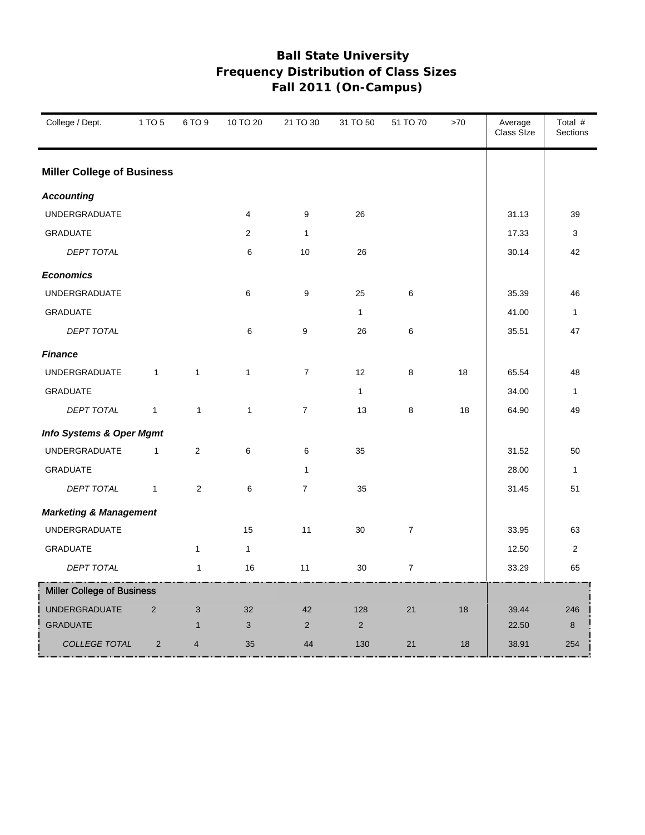| College / Dept.                     | 1 TO 5         | 6 TO 9                  | 10 TO 20       | 21 TO 30         | 31 TO 50     | 51 TO 70       | >70 | Average<br>Class Size | Total #<br>Sections |
|-------------------------------------|----------------|-------------------------|----------------|------------------|--------------|----------------|-----|-----------------------|---------------------|
| <b>Miller College of Business</b>   |                |                         |                |                  |              |                |     |                       |                     |
| <b>Accounting</b>                   |                |                         |                |                  |              |                |     |                       |                     |
| <b>UNDERGRADUATE</b>                |                |                         | $\overline{4}$ | 9                | 26           |                |     | 31.13                 | 39                  |
| <b>GRADUATE</b>                     |                |                         | 2              | $\mathbf{1}$     |              |                |     | 17.33                 | 3                   |
| DEPT TOTAL                          |                |                         | 6              | 10               | 26           |                |     | 30.14                 | 42                  |
| <b>Economics</b>                    |                |                         |                |                  |              |                |     |                       |                     |
| <b>UNDERGRADUATE</b>                |                |                         | 6              | 9                | 25           | 6              |     | 35.39                 | 46                  |
| <b>GRADUATE</b>                     |                |                         |                |                  | $\mathbf{1}$ |                |     | 41.00                 | $\mathbf{1}$        |
| DEPT TOTAL                          |                |                         | 6              | 9                | 26           | 6              |     | 35.51                 | 47                  |
| <b>Finance</b>                      |                |                         |                |                  |              |                |     |                       |                     |
| UNDERGRADUATE                       | $\mathbf{1}$   | $\mathbf{1}$            | $\mathbf{1}$   | $\boldsymbol{7}$ | 12           | 8              | 18  | 65.54                 | 48                  |
| <b>GRADUATE</b>                     |                |                         |                |                  | $\mathbf{1}$ |                |     | 34.00                 | $\mathbf{1}$        |
| <b>DEPT TOTAL</b>                   | $\mathbf{1}$   | $\mathbf{1}$            | $\mathbf{1}$   | $\overline{7}$   | 13           | 8              | 18  | 64.90                 | 49                  |
| <b>Info Systems &amp; Oper Mgmt</b> |                |                         |                |                  |              |                |     |                       |                     |
| UNDERGRADUATE                       | $\mathbf{1}$   | $\overline{2}$          | 6              | 6                | 35           |                |     | 31.52                 | 50                  |
| <b>GRADUATE</b>                     |                |                         |                | $\mathbf{1}$     |              |                |     | 28.00                 | $\mathbf{1}$        |
| DEPT TOTAL                          | $\mathbf{1}$   | $\mathbf{2}$            | 6              | $\overline{7}$   | 35           |                |     | 31.45                 | 51                  |
| <b>Marketing &amp; Management</b>   |                |                         |                |                  |              |                |     |                       |                     |
| <b>UNDERGRADUATE</b>                |                |                         | 15             | 11               | 30           | $\overline{7}$ |     | 33.95                 | 63                  |
| <b>GRADUATE</b>                     |                | $\mathbf{1}$            | $\mathbf{1}$   |                  |              |                |     | 12.50                 | 2                   |
| DEPT TOTAL                          |                | $\mathbf{1}$            | 16             | 11               | 30           | $\overline{7}$ |     | 33.29                 | 65                  |
| <b>Miller College of Business</b>   |                |                         |                |                  |              |                |     |                       |                     |
| <b>UNDERGRADUATE</b>                | 2              | 3                       | 32             | 42               | 128          | 21             | 18  | 39.44                 | 246                 |
| <b>GRADUATE</b>                     |                | $\mathbf{1}$            | 3              | 2                | 2            |                |     | 22.50                 | 8                   |
| COLLEGE TOTAL                       | $\overline{2}$ | $\overline{\mathbf{4}}$ | 35             | 44               | 130          | 21             | 18  | 38.91                 | 254                 |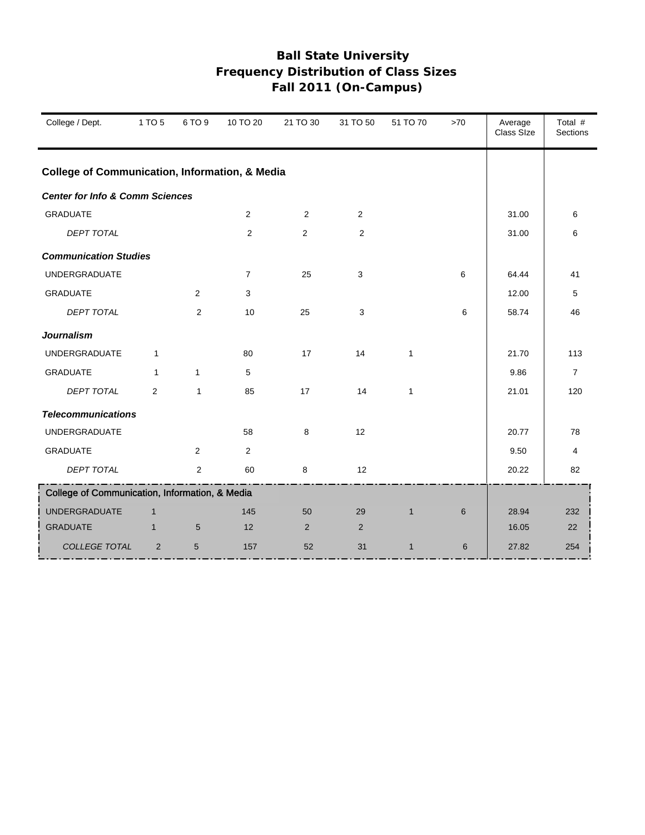| College / Dept.                                           | 1 TO 5         | 6 TO 9         | 10 TO 20       | 21 TO 30       | 31 TO 50       | 51 TO 70     | >70 | Average<br>Class SIze | Total #<br><b>Sections</b> |
|-----------------------------------------------------------|----------------|----------------|----------------|----------------|----------------|--------------|-----|-----------------------|----------------------------|
| <b>College of Communication, Information, &amp; Media</b> |                |                |                |                |                |              |     |                       |                            |
| <b>Center for Info &amp; Comm Sciences</b>                |                |                |                |                |                |              |     |                       |                            |
| <b>GRADUATE</b>                                           |                |                | 2              | 2              | $\overline{2}$ |              |     | 31.00                 | 6                          |
| <b>DEPT TOTAL</b>                                         |                |                | 2              | 2              | $\overline{2}$ |              |     | 31.00                 | 6                          |
| <b>Communication Studies</b>                              |                |                |                |                |                |              |     |                       |                            |
| <b>UNDERGRADUATE</b>                                      |                |                | $\overline{7}$ | 25             | 3              |              | 6   | 64.44                 | 41                         |
| <b>GRADUATE</b>                                           |                | 2              | $\mathbf{3}$   |                |                |              |     | 12.00                 | 5                          |
| <b>DEPT TOTAL</b>                                         |                | $\overline{2}$ | 10             | 25             | 3              |              | 6   | 58.74                 | 46                         |
| <b>Journalism</b>                                         |                |                |                |                |                |              |     |                       |                            |
| <b>UNDERGRADUATE</b>                                      | $\mathbf{1}$   |                | 80             | 17             | 14             | $\mathbf{1}$ |     | 21.70                 | 113                        |
| <b>GRADUATE</b>                                           | $\mathbf{1}$   | $\mathbf{1}$   | 5              |                |                |              |     | 9.86                  | $\overline{7}$             |
| <b>DEPT TOTAL</b>                                         | $\overline{2}$ | $\mathbf{1}$   | 85             | 17             | 14             | $\mathbf{1}$ |     | 21.01                 | 120                        |
| <b>Telecommunications</b>                                 |                |                |                |                |                |              |     |                       |                            |
| <b>UNDERGRADUATE</b>                                      |                |                | 58             | 8              | 12             |              |     | 20.77                 | 78                         |
| <b>GRADUATE</b>                                           |                | 2              | 2              |                |                |              |     | 9.50                  | 4                          |
| <b>DEPT TOTAL</b>                                         |                | 2              | 60             | 8              | 12             |              |     | 20.22                 | 82                         |
| College of Communication, Information, & Media            |                |                |                |                |                |              |     |                       |                            |
| <b>UNDERGRADUATE</b>                                      | $\mathbf{1}$   |                | 145            | 50             | 29             | $\mathbf{1}$ | 6   | 28.94                 | 232                        |
| <b>GRADUATE</b>                                           | $\mathbf{1}$   | $5\phantom{1}$ | 12             | $\overline{2}$ | 2              |              |     | 16.05                 | 22                         |
| COLLEGE TOTAL                                             | $\overline{2}$ | 5              | 157            | 52             | 31             | $\mathbf{1}$ | 6   | 27.82                 | 254                        |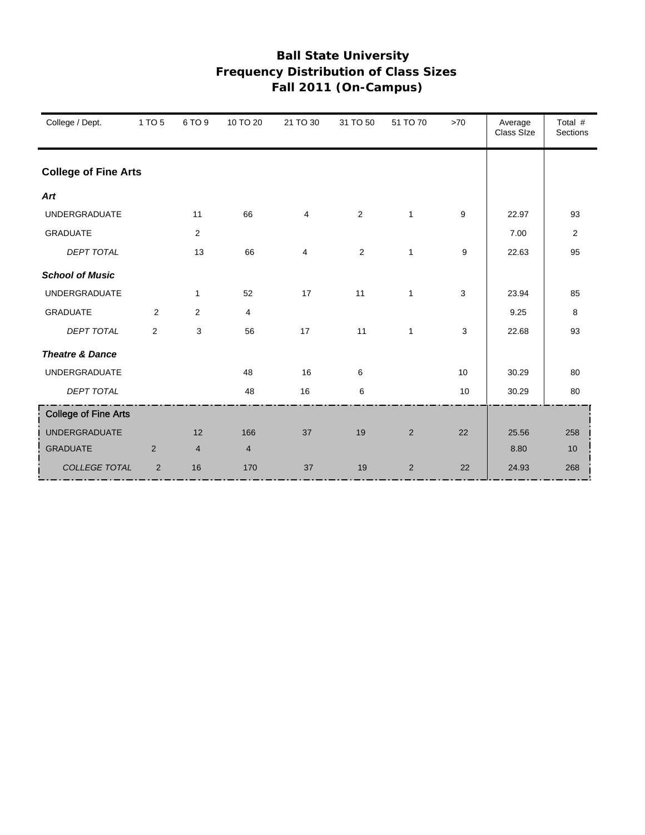| College / Dept.             | 1 TO 5         | 6 TO 9         | 10 TO 20 | 21 TO 30 | 31 TO 50       | 51 TO 70       | >70 | Average<br>Class SIze | Total #<br><b>Sections</b> |
|-----------------------------|----------------|----------------|----------|----------|----------------|----------------|-----|-----------------------|----------------------------|
| <b>College of Fine Arts</b> |                |                |          |          |                |                |     |                       |                            |
| Art                         |                |                |          |          |                |                |     |                       |                            |
| <b>UNDERGRADUATE</b>        |                | 11             | 66       | 4        | $\overline{2}$ | $\mathbf{1}$   | 9   | 22.97                 | 93                         |
| <b>GRADUATE</b>             |                | 2              |          |          |                |                |     | 7.00                  | 2                          |
| <b>DEPT TOTAL</b>           |                | 13             | 66       | 4        | $\mathbf{2}$   | $\mathbf{1}$   | 9   | 22.63                 | 95                         |
| <b>School of Music</b>      |                |                |          |          |                |                |     |                       |                            |
| <b>UNDERGRADUATE</b>        |                | $\mathbf{1}$   | 52       | 17       | 11             | $\mathbf{1}$   | 3   | 23.94                 | 85                         |
| <b>GRADUATE</b>             | $\overline{2}$ | 2              | 4        |          |                |                |     | 9.25                  | 8                          |
| <b>DEPT TOTAL</b>           | 2              | 3              | 56       | 17       | 11             | $\mathbf{1}$   | 3   | 22.68                 | 93                         |
| <b>Theatre &amp; Dance</b>  |                |                |          |          |                |                |     |                       |                            |
| <b>UNDERGRADUATE</b>        |                |                | 48       | 16       | 6              |                | 10  | 30.29                 | 80                         |
| <b>DEPT TOTAL</b>           |                |                | 48       | 16       | 6              |                | 10  | 30.29                 | 80                         |
| <b>College of Fine Arts</b> |                |                |          |          |                |                |     |                       |                            |
| <b>UNDERGRADUATE</b>        |                | 12             | 166      | 37       | 19             | $\overline{2}$ | 22  | 25.56                 | 258                        |
| <b>GRADUATE</b>             | $\overline{2}$ | $\overline{4}$ | 4        |          |                |                |     | 8.80                  | 10                         |
| COLLEGE TOTAL               | $\overline{2}$ | 16             | 170      | 37       | 19             | $\overline{2}$ | 22  | 24.93                 | 268                        |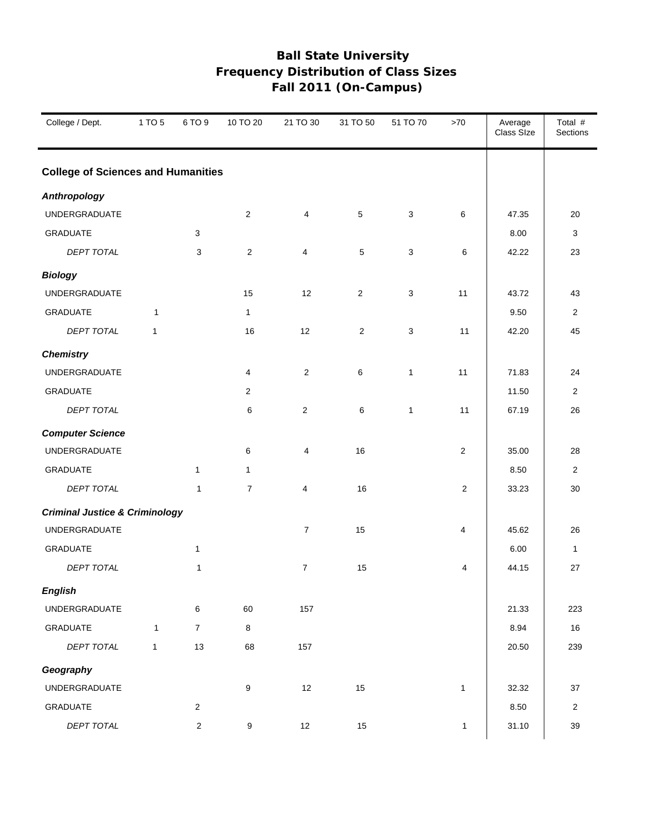| College / Dept.                           | 1 TO 5       | 6 TO 9         | 10 TO 20         | 21 TO 30       | 31 TO 50       | 51 TO 70     | >70            | Average<br>Class Size | Total #<br>Sections |
|-------------------------------------------|--------------|----------------|------------------|----------------|----------------|--------------|----------------|-----------------------|---------------------|
| <b>College of Sciences and Humanities</b> |              |                |                  |                |                |              |                |                       |                     |
| <b>Anthropology</b>                       |              |                |                  |                |                |              |                |                       |                     |
| UNDERGRADUATE                             |              |                | $\overline{2}$   | 4              | 5              | $\mathbf{3}$ | 6              | 47.35                 | 20                  |
| <b>GRADUATE</b>                           |              | 3              |                  |                |                |              |                | 8.00                  | 3                   |
| DEPT TOTAL                                |              | 3              | $\overline{2}$   | $\overline{4}$ | $\sqrt{5}$     | 3            | 6              | 42.22                 | 23                  |
| <b>Biology</b>                            |              |                |                  |                |                |              |                |                       |                     |
| UNDERGRADUATE                             |              |                | 15               | 12             | $\overline{2}$ | 3            | 11             | 43.72                 | 43                  |
| <b>GRADUATE</b>                           | $\mathbf{1}$ |                | $\mathbf{1}$     |                |                |              |                | 9.50                  | $\overline{2}$      |
| <b>DEPT TOTAL</b>                         | $\mathbf{1}$ |                | 16               | 12             | $\overline{2}$ | 3            | 11             | 42.20                 | 45                  |
| <b>Chemistry</b>                          |              |                |                  |                |                |              |                |                       |                     |
| <b>UNDERGRADUATE</b>                      |              |                | 4                | $\overline{2}$ | 6              | $\mathbf{1}$ | 11             | 71.83                 | 24                  |
| <b>GRADUATE</b>                           |              |                | $\overline{2}$   |                |                |              |                | 11.50                 | 2                   |
| DEPT TOTAL                                |              |                | 6                | $\overline{c}$ | 6              | $\mathbf{1}$ | 11             | 67.19                 | 26                  |
| <b>Computer Science</b>                   |              |                |                  |                |                |              |                |                       |                     |
| UNDERGRADUATE                             |              |                | 6                | 4              | 16             |              | $\sqrt{2}$     | 35.00                 | 28                  |
| <b>GRADUATE</b>                           |              | $\mathbf{1}$   | $\mathbf{1}$     |                |                |              |                | 8.50                  | 2                   |
| DEPT TOTAL                                |              | $\mathbf{1}$   | $\overline{7}$   | $\overline{4}$ | 16             |              | $\overline{c}$ | 33.23                 | 30                  |
| <b>Criminal Justice &amp; Criminology</b> |              |                |                  |                |                |              |                |                       |                     |
| <b>UNDERGRADUATE</b>                      |              |                |                  | $\overline{7}$ | 15             |              | $\overline{4}$ | 45.62                 | 26                  |
| GRADUATE                                  |              | $\mathbf{1}$   |                  |                |                |              |                | 6.00                  | $\mathbf{1}$        |
| DEPT TOTAL                                |              | 1              |                  | $\overline{7}$ | 15             |              | 4              | 44.15                 | 27                  |
| <b>English</b>                            |              |                |                  |                |                |              |                |                       |                     |
| UNDERGRADUATE                             |              | 6              | 60               | 157            |                |              |                | 21.33                 | 223                 |
| GRADUATE                                  | $\mathbf{1}$ | $\overline{7}$ | 8                |                |                |              |                | 8.94                  | $16\,$              |
| DEPT TOTAL                                | $\mathbf{1}$ | 13             | 68               | 157            |                |              |                | 20.50                 | 239                 |
| Geography                                 |              |                |                  |                |                |              |                |                       |                     |
| <b>UNDERGRADUATE</b>                      |              |                | $\boldsymbol{9}$ | 12             | 15             |              | $\mathbf{1}$   | 32.32                 | 37                  |
| GRADUATE                                  |              | $\overline{2}$ |                  |                |                |              |                | 8.50                  | $\sqrt{2}$          |
| DEPT TOTAL                                |              | $\sqrt{2}$     | 9                | 12             | 15             |              | $\mathbf{1}$   | 31.10                 | $39\,$              |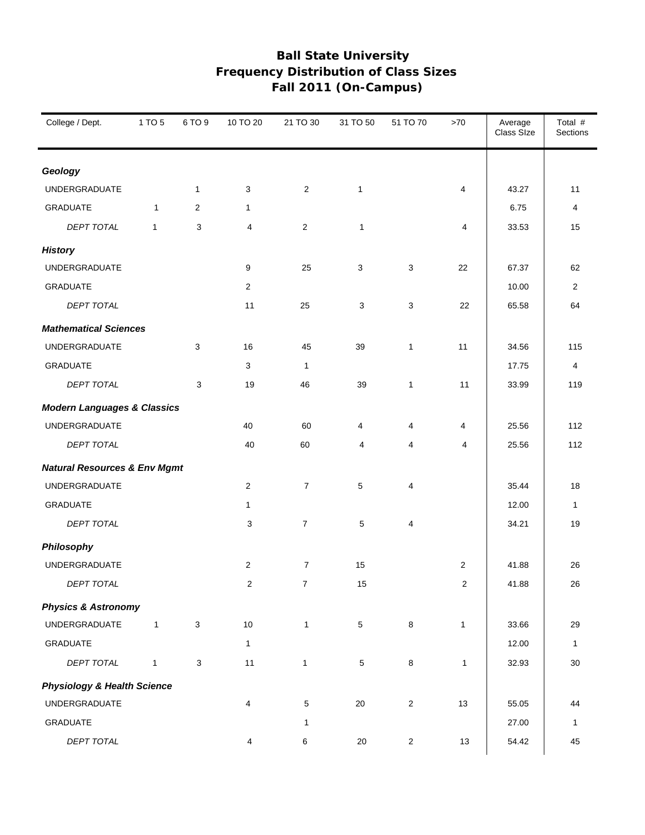| College / Dept.                         | 1 TO 5       | 6 TO 9       | 10 TO 20       | 21 TO 30       | 31 TO 50        | 51 TO 70                | >70            | Average<br>Class Size | Total #<br>Sections |
|-----------------------------------------|--------------|--------------|----------------|----------------|-----------------|-------------------------|----------------|-----------------------|---------------------|
| Geology                                 |              |              |                |                |                 |                         |                |                       |                     |
| <b>UNDERGRADUATE</b>                    |              | $\mathbf{1}$ | 3              | $\overline{2}$ | $\mathbf{1}$    |                         | $\overline{4}$ | 43.27                 | 11                  |
| <b>GRADUATE</b>                         | $\mathbf{1}$ | 2            | 1              |                |                 |                         |                | 6.75                  | 4                   |
| <b>DEPT TOTAL</b>                       | $\mathbf{1}$ | 3            | 4              | 2              | $\mathbf{1}$    |                         | 4              | 33.53                 | 15                  |
| <b>History</b>                          |              |              |                |                |                 |                         |                |                       |                     |
| UNDERGRADUATE                           |              |              | 9              | 25             | 3               | 3                       | 22             | 67.37                 | 62                  |
| <b>GRADUATE</b>                         |              |              | $\overline{2}$ |                |                 |                         |                | 10.00                 | 2                   |
| DEPT TOTAL                              |              |              | 11             | 25             | 3               | 3                       | 22             | 65.58                 | 64                  |
| <b>Mathematical Sciences</b>            |              |              |                |                |                 |                         |                |                       |                     |
| <b>UNDERGRADUATE</b>                    |              | 3            | 16             | 45             | 39              | $\mathbf{1}$            | 11             | 34.56                 | 115                 |
| <b>GRADUATE</b>                         |              |              | 3              | $\mathbf{1}$   |                 |                         |                | 17.75                 | 4                   |
| DEPT TOTAL                              |              | 3            | 19             | 46             | 39              | $\mathbf{1}$            | 11             | 33.99                 | 119                 |
| <b>Modern Languages &amp; Classics</b>  |              |              |                |                |                 |                         |                |                       |                     |
| UNDERGRADUATE                           |              |              | 40             | 60             | 4               | 4                       | $\overline{4}$ | 25.56                 | 112                 |
| DEPT TOTAL                              |              |              | 40             | 60             | 4               | 4                       | $\overline{4}$ | 25.56                 | 112                 |
| <b>Natural Resources &amp; Env Mgmt</b> |              |              |                |                |                 |                         |                |                       |                     |
| UNDERGRADUATE                           |              |              | 2              | $\overline{7}$ | 5               | 4                       |                | 35.44                 | 18                  |
| <b>GRADUATE</b>                         |              |              | 1              |                |                 |                         |                | 12.00                 | $\mathbf{1}$        |
| DEPT TOTAL                              |              |              | 3              | $\overline{7}$ | 5               | 4                       |                | 34.21                 | 19                  |
| Philosophy                              |              |              |                |                |                 |                         |                |                       |                     |
| UNDERGRADUATE                           |              |              | 2              | $\overline{7}$ | 15              |                         | $\overline{2}$ | 41.88                 | 26                  |
| DEPT TOTAL                              |              |              | $\overline{c}$ | $\overline{7}$ | 15              |                         | $\overline{c}$ | 41.88                 | 26                  |
| <b>Physics &amp; Astronomy</b>          |              |              |                |                |                 |                         |                |                       |                     |
| UNDERGRADUATE                           | $\mathbf{1}$ | 3            | $10$           | $\mathbf{1}$   | $\sqrt{5}$      | 8                       | $\mathbf{1}$   | 33.66                 | 29                  |
| <b>GRADUATE</b>                         |              |              | $\mathbf{1}$   |                |                 |                         |                | 12.00                 | $\mathbf{1}$        |
| DEPT TOTAL                              | $\mathbf{1}$ | 3            | 11             | $\mathbf{1}$   | $5\phantom{.0}$ | 8                       | $\mathbf{1}$   | 32.93                 | $30\,$              |
| <b>Physiology &amp; Health Science</b>  |              |              |                |                |                 |                         |                |                       |                     |
| UNDERGRADUATE                           |              |              | 4              | 5              | $20\,$          | $\overline{\mathbf{c}}$ | 13             | 55.05                 | 44                  |
| GRADUATE                                |              |              |                | 1              |                 |                         |                | 27.00                 | 1                   |
| DEPT TOTAL                              |              |              | 4              | 6              | $20\,$          | $\overline{c}$          | $13$           | 54.42                 | 45                  |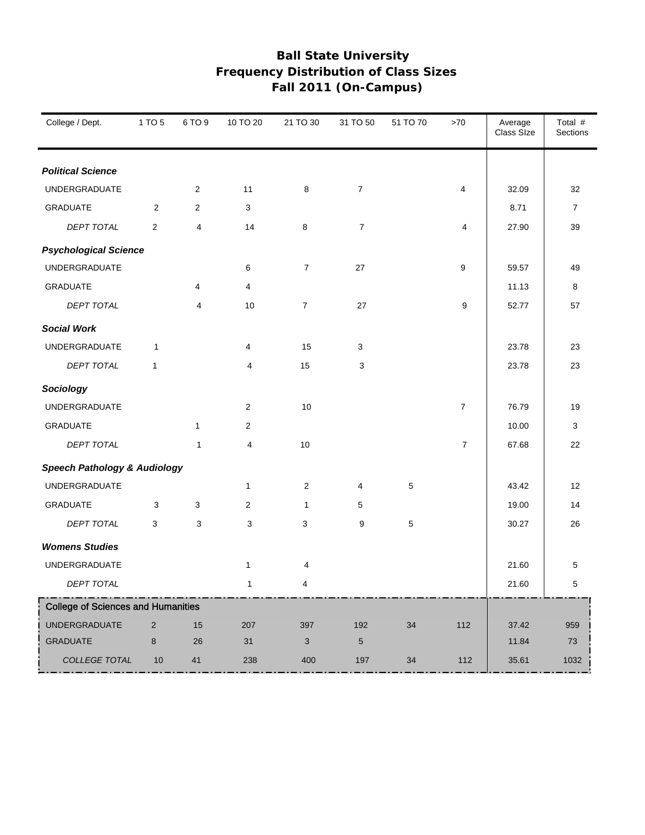| College / Dept.                           | 1 TO 5                  | 6 TO 9         | 10 TO 20       | 21 TO 30       | 31 TO 50       | 51 TO 70 | $>70$          | Average<br>Class SIze | Total #<br>Sections |
|-------------------------------------------|-------------------------|----------------|----------------|----------------|----------------|----------|----------------|-----------------------|---------------------|
| <b>Political Science</b>                  |                         |                |                |                |                |          |                |                       |                     |
| <b>UNDERGRADUATE</b>                      |                         | $\overline{2}$ | 11             | 8              | $\overline{7}$ |          | 4              | 32.09                 | 32                  |
| <b>GRADUATE</b>                           | $\overline{2}$          | $\overline{2}$ | 3              |                |                |          |                | 8.71                  | $\overline{7}$      |
| DEPT TOTAL                                | $\overline{\mathbf{c}}$ | 4              | 14             | 8              | $\overline{7}$ |          | 4              | 27.90                 | 39                  |
| <b>Psychological Science</b>              |                         |                |                |                |                |          |                |                       |                     |
| <b>UNDERGRADUATE</b>                      |                         |                | 6              | $\overline{7}$ | 27             |          | 9              | 59.57                 | 49                  |
| <b>GRADUATE</b>                           |                         | 4              | $\overline{4}$ |                |                |          |                | 11.13                 | 8                   |
| <b>DEPT TOTAL</b>                         |                         | 4              | 10             | $\overline{7}$ | 27             |          | 9              | 52.77                 | 57                  |
| <b>Social Work</b>                        |                         |                |                |                |                |          |                |                       |                     |
| <b>UNDERGRADUATE</b>                      | $\mathbf{1}$            |                | 4              | 15             | 3              |          |                | 23.78                 | 23                  |
| DEPT TOTAL                                | $\mathbf{1}$            |                | 4              | 15             | 3              |          |                | 23.78                 | 23                  |
| Sociology                                 |                         |                |                |                |                |          |                |                       |                     |
| <b>UNDERGRADUATE</b>                      |                         |                | $\overline{c}$ | 10             |                |          | $\overline{7}$ | 76.79                 | 19                  |
| <b>GRADUATE</b>                           |                         | $\mathbf{1}$   | $\overline{c}$ |                |                |          |                | 10.00                 | 3                   |
| <b>DEPT TOTAL</b>                         |                         | $\mathbf{1}$   | $\overline{4}$ | 10             |                |          | $\overline{7}$ | 67.68                 | 22                  |
| <b>Speech Pathology &amp; Audiology</b>   |                         |                |                |                |                |          |                |                       |                     |
| <b>UNDERGRADUATE</b>                      |                         |                | $\mathbf{1}$   | $\overline{c}$ | 4              | 5        |                | 43.42                 | 12                  |
| <b>GRADUATE</b>                           | 3                       | 3              | $\overline{c}$ | $\mathbf{1}$   | 5              |          |                | 19.00                 | 14                  |
| DEPT TOTAL                                | 3                       | 3              | 3              | 3              | 9              | 5        |                | 30.27                 | 26                  |
| <b>Womens Studies</b>                     |                         |                |                |                |                |          |                |                       |                     |
| <b>UNDERGRADUATE</b>                      |                         |                | $\mathbf{1}$   | 4              |                |          |                | 21.60                 | 5                   |
| DEPT TOTAL                                |                         |                | $\mathbf{1}$   | 4              |                |          |                | 21.60                 | 5                   |
| <b>College of Sciences and Humanities</b> |                         |                |                |                |                |          |                |                       |                     |
| <b>UNDERGRADUATE</b>                      | $\overline{2}$          | 15             | 207            | 397            | 192            | 34       | 112            | 37.42                 | 959                 |
| <b>GRADUATE</b>                           | 8                       | 26             | 31             | 3              | 5              |          |                | 11.84                 | $73\,$              |
| COLLEGE TOTAL                             | $10$                    | 41             | 238            | 400            | 197            | $34\,$   | 112            | 35.61                 | 1032                |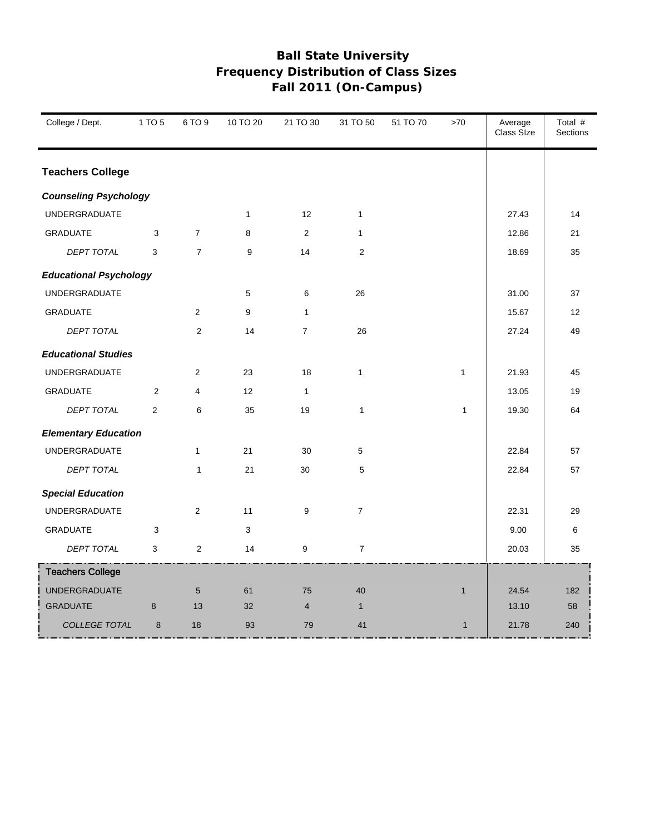| College / Dept.               | 1 TO 5         | 6 TO 9          | 10 TO 20     | 21 TO 30       | 31 TO 50       | 51 TO 70 | >70          | Average<br>Class Size | Total #<br>Sections |
|-------------------------------|----------------|-----------------|--------------|----------------|----------------|----------|--------------|-----------------------|---------------------|
| <b>Teachers College</b>       |                |                 |              |                |                |          |              |                       |                     |
| <b>Counseling Psychology</b>  |                |                 |              |                |                |          |              |                       |                     |
| <b>UNDERGRADUATE</b>          |                |                 | $\mathbf{1}$ | 12             | $\mathbf{1}$   |          |              | 27.43                 | 14                  |
| <b>GRADUATE</b>               | 3              | $\overline{7}$  | 8            | 2              | $\mathbf{1}$   |          |              | 12.86                 | 21                  |
| DEPT TOTAL                    | 3              | $\overline{7}$  | 9            | 14             | $\mathbf{2}$   |          |              | 18.69                 | 35                  |
| <b>Educational Psychology</b> |                |                 |              |                |                |          |              |                       |                     |
| <b>UNDERGRADUATE</b>          |                |                 | 5            | 6              | 26             |          |              | 31.00                 | 37                  |
| <b>GRADUATE</b>               |                | $\overline{2}$  | 9            | $\mathbf{1}$   |                |          |              | 15.67                 | 12                  |
| <b>DEPT TOTAL</b>             |                | 2               | 14           | $\overline{7}$ | 26             |          |              | 27.24                 | 49                  |
| <b>Educational Studies</b>    |                |                 |              |                |                |          |              |                       |                     |
| <b>UNDERGRADUATE</b>          |                | $\overline{2}$  | 23           | 18             | $\mathbf{1}$   |          | $\mathbf{1}$ | 21.93                 | 45                  |
| <b>GRADUATE</b>               | 2              | $\overline{4}$  | 12           | $\mathbf{1}$   |                |          |              | 13.05                 | 19                  |
| <b>DEPT TOTAL</b>             | $\overline{2}$ | 6               | 35           | 19             | $\mathbf{1}$   |          | $\mathbf{1}$ | 19.30                 | 64                  |
| <b>Elementary Education</b>   |                |                 |              |                |                |          |              |                       |                     |
| <b>UNDERGRADUATE</b>          |                | $\mathbf{1}$    | 21           | 30             | 5              |          |              | 22.84                 | 57                  |
| <b>DEPT TOTAL</b>             |                | $\mathbf{1}$    | 21           | 30             | 5              |          |              | 22.84                 | 57                  |
| <b>Special Education</b>      |                |                 |              |                |                |          |              |                       |                     |
| <b>UNDERGRADUATE</b>          |                | $\overline{2}$  | 11           | 9              | $\overline{7}$ |          |              | 22.31                 | 29                  |
| <b>GRADUATE</b>               | 3              |                 | 3            |                |                |          |              | 9.00                  | 6                   |
| DEPT TOTAL                    | 3              | 2               | 14           | 9              | $\overline{7}$ |          |              | 20.03                 | 35                  |
| <b>Teachers College</b>       |                |                 |              |                |                |          |              |                       |                     |
| <b>UNDERGRADUATE</b>          |                | $5\phantom{.0}$ | 61           | 75             | 40             |          | $\mathbf{1}$ | 24.54                 | 182                 |
| <b>GRADUATE</b>               | 8              | 13              | 32           | $\overline{4}$ | $\mathbf{1}$   |          |              | 13.10                 | 58                  |
| <b>COLLEGE TOTAL</b>          | 8              | 18              | 93           | 79             | 41             |          | $\mathbf{1}$ | 21.78                 | 240                 |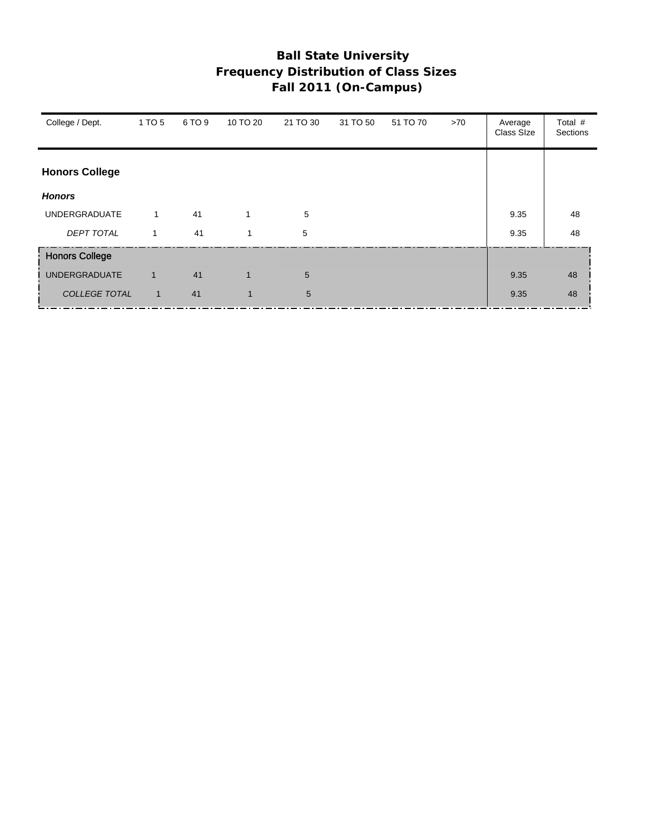| College / Dept.       | 1 TO 5       | 6 TO 9 | 10 TO 20     | 21 TO 30        | 31 TO 50 | 51 TO 70 | >70 | Average<br>Class SIze | Total #<br>Sections |
|-----------------------|--------------|--------|--------------|-----------------|----------|----------|-----|-----------------------|---------------------|
| <b>Honors College</b> |              |        |              |                 |          |          |     |                       |                     |
| <b>Honors</b>         |              |        |              |                 |          |          |     |                       |                     |
| <b>UNDERGRADUATE</b>  | $\mathbf{1}$ | 41     | 1            | 5               |          |          |     | 9.35                  | 48                  |
| <b>DEPT TOTAL</b>     | 1            | 41     | 1            | 5               |          |          |     | 9.35                  | 48                  |
| <b>Honors College</b> |              |        |              |                 |          |          |     |                       |                     |
| <b>UNDERGRADUATE</b>  | $\mathbf{1}$ | 41     | $\mathbf{1}$ | 5               |          |          |     | 9.35                  | 48                  |
| <b>COLLEGE TOTAL</b>  | $\mathbf{1}$ | 41     | $\mathbf{1}$ | $5\phantom{.0}$ |          |          |     | 9.35                  | 48                  |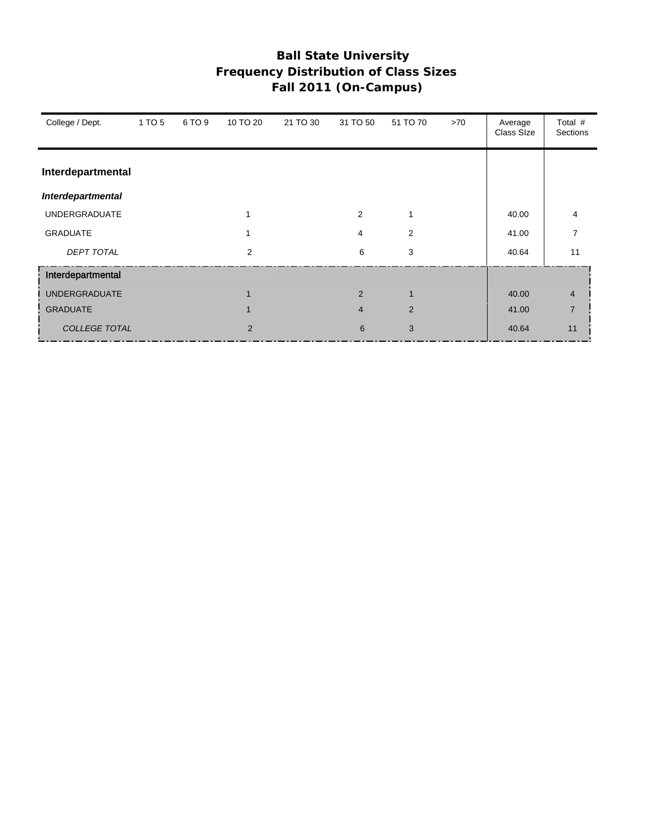| College / Dept.      | 1 TO 5 | 6 TO 9 | 10 TO 20 | 21 TO 30 | 31 TO 50       | 51 TO 70 | >70 | Average<br>Class SIze | Total #<br>Sections |
|----------------------|--------|--------|----------|----------|----------------|----------|-----|-----------------------|---------------------|
| Interdepartmental    |        |        |          |          |                |          |     |                       |                     |
| Interdepartmental    |        |        |          |          |                |          |     |                       |                     |
| <b>UNDERGRADUATE</b> |        |        |          |          | $\overline{2}$ | 1        |     | 40.00                 | 4                   |
| <b>GRADUATE</b>      |        |        |          |          | 4              | 2        |     | 41.00                 | 7                   |
| <b>DEPT TOTAL</b>    |        |        | 2        |          | 6              | 3        |     | 40.64                 | 11                  |
| Interdepartmental    |        |        |          |          |                |          |     |                       |                     |
| <b>UNDERGRADUATE</b> |        |        |          |          | 2              |          |     | 40.00                 | $\overline{4}$      |
| <b>GRADUATE</b>      |        |        |          |          | $\overline{4}$ | 2        |     | 41.00                 | $\overline{7}$      |
| <b>COLLEGE TOTAL</b> |        |        | 2        |          | 6              | 3        |     | 40.64                 | 11                  |